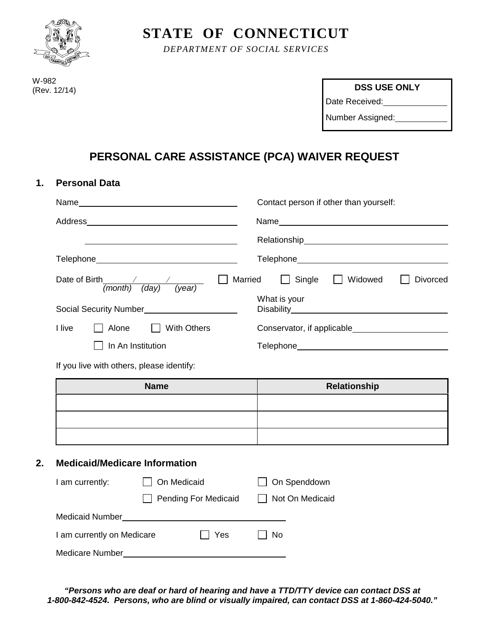

**STATE OF CONNECTICUT**

*DEPARTMENT OF SOCIAL SERVICES*

W-982 (Rev. 12/14)

**DSS USE ONLY**

Date Received:

Number Assigned:

## **PERSONAL CARE ASSISTANCE (PCA) WAIVER REQUEST**

### **1. Personal Data**

| Name <u>_______________________________</u>                                                                                | Contact person if other than yourself:          |  |  |
|----------------------------------------------------------------------------------------------------------------------------|-------------------------------------------------|--|--|
| Address<br>the contract of the contract of the contract of the contract of the contract of the contract of the contract of |                                                 |  |  |
|                                                                                                                            |                                                 |  |  |
|                                                                                                                            |                                                 |  |  |
| Date of Birth / /<br>(day)<br>(year)<br>(month)                                                                            | Single<br>Married<br>Widowed<br><b>Divorced</b> |  |  |
|                                                                                                                            | What is your                                    |  |  |
| I live<br>Alone<br><b>With Others</b><br>- 11                                                                              | Conservator, if applicable_______________       |  |  |
| In An Institution                                                                                                          | Telephone_______________________________        |  |  |
|                                                                                                                            |                                                 |  |  |

If you live with others, please identify:

| <b>Name</b> | Relationship |
|-------------|--------------|
|             |              |
|             |              |
|             |              |

### **2. Medicaid/Medicare Information**

| I am currently:            | On Medicaid          |         | On Spenddown    |  |
|----------------------------|----------------------|---------|-----------------|--|
|                            | Pending For Medicaid |         | Not On Medicaid |  |
| <b>Medicaid Number</b>     |                      |         |                 |  |
| I am currently on Medicare |                      | l l Yes | No              |  |
| Medicare Number            |                      |         |                 |  |

*"Persons who are deaf or hard of hearing and have a TTD/TTY device can contact DSS at 1-800-842-4524. Persons, who are blind or visually impaired, can contact DSS at 1-860-424-5040."*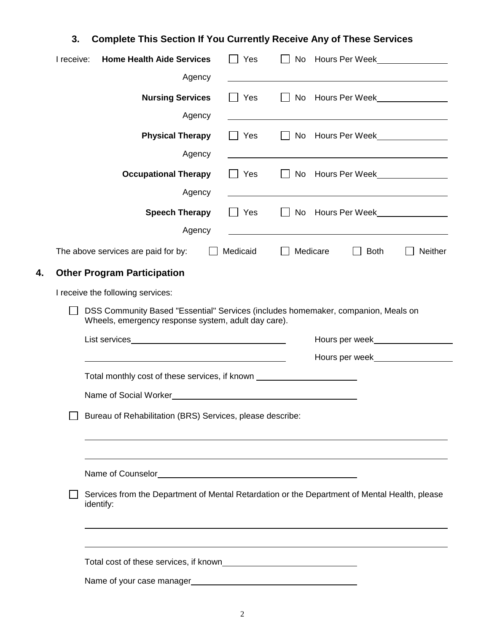# **3. Complete This Section If You Currently Receive Any of These Services**

|                                                                                                                                                                                                                                                                   | I receive:                                                | <b>Home Health Aide Services</b>                                                                                                         |        | Yes<br>$\mathbf{I}$    |              |                                                                                                                       |         |
|-------------------------------------------------------------------------------------------------------------------------------------------------------------------------------------------------------------------------------------------------------------------|-----------------------------------------------------------|------------------------------------------------------------------------------------------------------------------------------------------|--------|------------------------|--------------|-----------------------------------------------------------------------------------------------------------------------|---------|
|                                                                                                                                                                                                                                                                   |                                                           |                                                                                                                                          | Agency |                        |              |                                                                                                                       |         |
|                                                                                                                                                                                                                                                                   |                                                           | <b>Nursing Services</b>                                                                                                                  |        | Yes<br>$\sim$          | $\mathbf{1}$ | No Hours Per Week                                                                                                     |         |
|                                                                                                                                                                                                                                                                   |                                                           |                                                                                                                                          | Agency |                        |              | <u> 1989 - Johann Stein, mars an deutscher Stein und der Stein und der Stein und der Stein und der Stein und der</u>  |         |
|                                                                                                                                                                                                                                                                   |                                                           | <b>Physical Therapy</b>                                                                                                                  |        | Yes<br><b>Contract</b> | $\mathbf{1}$ | No Hours Per Week                                                                                                     |         |
|                                                                                                                                                                                                                                                                   |                                                           |                                                                                                                                          | Agency |                        |              |                                                                                                                       |         |
|                                                                                                                                                                                                                                                                   |                                                           | <b>Occupational Therapy</b>                                                                                                              |        | Yes<br><b>Contract</b> | $\mathbf{I}$ | No Hours Per Week                                                                                                     |         |
|                                                                                                                                                                                                                                                                   |                                                           |                                                                                                                                          | Agency |                        |              |                                                                                                                       |         |
|                                                                                                                                                                                                                                                                   |                                                           | <b>Speech Therapy</b>                                                                                                                    |        | Yes                    | $\perp$      | No Hours Per Week________________                                                                                     |         |
|                                                                                                                                                                                                                                                                   |                                                           |                                                                                                                                          | Agency |                        |              | <u> 1989 - Johann Stein, marwolaethau a bhann an t-Amhain ann an t-Amhain an t-Amhain an t-Amhain an t-Amhain an </u> |         |
|                                                                                                                                                                                                                                                                   |                                                           | The above services are paid for by:                                                                                                      |        | Medicaid               |              | Medicare<br><b>Both</b>                                                                                               | Neither |
| 4.                                                                                                                                                                                                                                                                |                                                           | <b>Other Program Participation</b>                                                                                                       |        |                        |              |                                                                                                                       |         |
| I receive the following services:                                                                                                                                                                                                                                 |                                                           |                                                                                                                                          |        |                        |              |                                                                                                                       |         |
|                                                                                                                                                                                                                                                                   |                                                           | DSS Community Based "Essential" Services (includes homemaker, companion, Meals on<br>Wheels, emergency response system, adult day care). |        |                        |              |                                                                                                                       |         |
| Hours per week<br><u>Letter</u><br>Hours per week<br>Hours can be week leaded by the same of the same of the same of the same of the same of the same of the same of the same of the same of the same of the same of the same of the same of the same of the same |                                                           |                                                                                                                                          |        |                        |              |                                                                                                                       |         |
|                                                                                                                                                                                                                                                                   |                                                           |                                                                                                                                          |        |                        |              |                                                                                                                       |         |
| Total monthly cost of these services, if known _________________________________                                                                                                                                                                                  |                                                           |                                                                                                                                          |        |                        |              |                                                                                                                       |         |
|                                                                                                                                                                                                                                                                   |                                                           |                                                                                                                                          |        |                        |              |                                                                                                                       |         |
|                                                                                                                                                                                                                                                                   | Bureau of Rehabilitation (BRS) Services, please describe: |                                                                                                                                          |        |                        |              |                                                                                                                       |         |
|                                                                                                                                                                                                                                                                   |                                                           |                                                                                                                                          |        |                        |              |                                                                                                                       |         |
|                                                                                                                                                                                                                                                                   |                                                           |                                                                                                                                          |        |                        |              |                                                                                                                       |         |
|                                                                                                                                                                                                                                                                   |                                                           | Services from the Department of Mental Retardation or the Department of Mental Health, please<br>identify:                               |        |                        |              |                                                                                                                       |         |
|                                                                                                                                                                                                                                                                   |                                                           |                                                                                                                                          |        |                        |              |                                                                                                                       |         |
|                                                                                                                                                                                                                                                                   |                                                           |                                                                                                                                          |        |                        |              |                                                                                                                       |         |